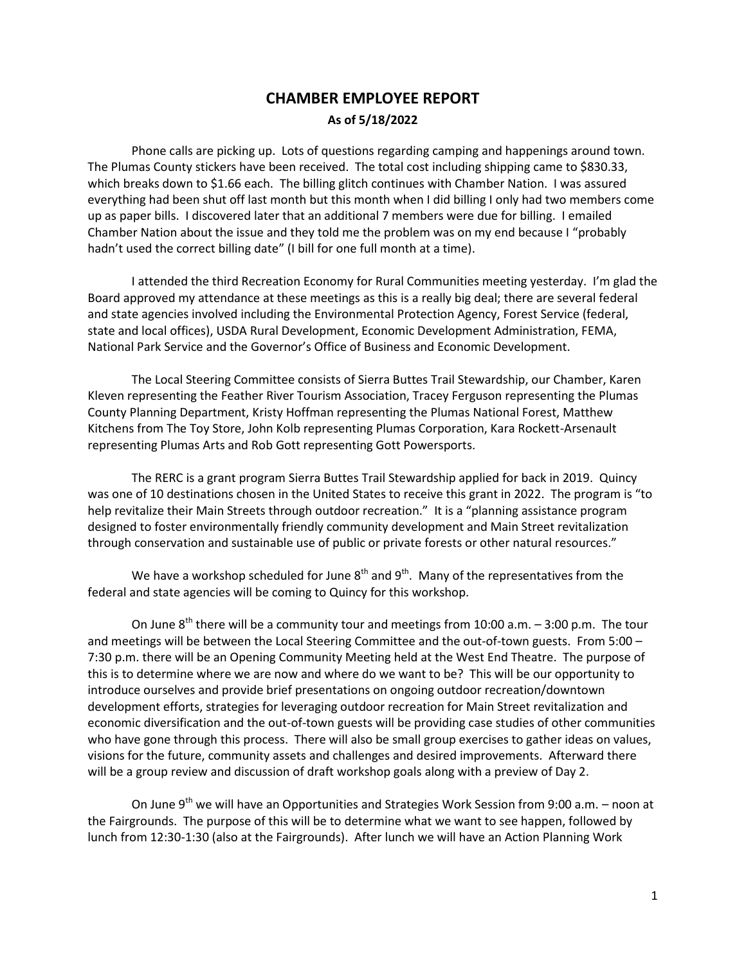## **CHAMBER EMPLOYEE REPORT As of 5/18/2022**

Phone calls are picking up. Lots of questions regarding camping and happenings around town. The Plumas County stickers have been received. The total cost including shipping came to \$830.33, which breaks down to \$1.66 each. The billing glitch continues with Chamber Nation. I was assured everything had been shut off last month but this month when I did billing I only had two members come up as paper bills. I discovered later that an additional 7 members were due for billing. I emailed Chamber Nation about the issue and they told me the problem was on my end because I "probably hadn't used the correct billing date" (I bill for one full month at a time).

I attended the third Recreation Economy for Rural Communities meeting yesterday. I'm glad the Board approved my attendance at these meetings as this is a really big deal; there are several federal and state agencies involved including the Environmental Protection Agency, Forest Service (federal, state and local offices), USDA Rural Development, Economic Development Administration, FEMA, National Park Service and the Governor's Office of Business and Economic Development.

The Local Steering Committee consists of Sierra Buttes Trail Stewardship, our Chamber, Karen Kleven representing the Feather River Tourism Association, Tracey Ferguson representing the Plumas County Planning Department, Kristy Hoffman representing the Plumas National Forest, Matthew Kitchens from The Toy Store, John Kolb representing Plumas Corporation, Kara Rockett-Arsenault representing Plumas Arts and Rob Gott representing Gott Powersports.

The RERC is a grant program Sierra Buttes Trail Stewardship applied for back in 2019. Quincy was one of 10 destinations chosen in the United States to receive this grant in 2022. The program is "to help revitalize their Main Streets through outdoor recreation." It is a "planning assistance program designed to foster environmentally friendly community development and Main Street revitalization through conservation and sustainable use of public or private forests or other natural resources."

We have a workshop scheduled for June  $8<sup>th</sup>$  and  $9<sup>th</sup>$ . Many of the representatives from the federal and state agencies will be coming to Quincy for this workshop.

On June  $8<sup>th</sup>$  there will be a community tour and meetings from 10:00 a.m.  $-$  3:00 p.m. The tour and meetings will be between the Local Steering Committee and the out-of-town guests. From 5:00 – 7:30 p.m. there will be an Opening Community Meeting held at the West End Theatre. The purpose of this is to determine where we are now and where do we want to be? This will be our opportunity to introduce ourselves and provide brief presentations on ongoing outdoor recreation/downtown development efforts, strategies for leveraging outdoor recreation for Main Street revitalization and economic diversification and the out-of-town guests will be providing case studies of other communities who have gone through this process. There will also be small group exercises to gather ideas on values, visions for the future, community assets and challenges and desired improvements. Afterward there will be a group review and discussion of draft workshop goals along with a preview of Day 2.

On June  $9<sup>th</sup>$  we will have an Opportunities and Strategies Work Session from 9:00 a.m. – noon at the Fairgrounds. The purpose of this will be to determine what we want to see happen, followed by lunch from 12:30-1:30 (also at the Fairgrounds). After lunch we will have an Action Planning Work